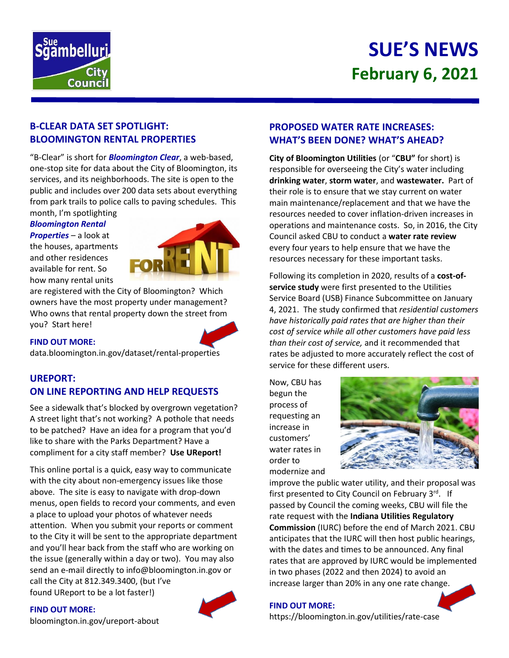

# **SUE'S NEWS February 6, 2021**

## **B-CLEAR DATA SET SPOTLIGHT: BLOOMINGTON RENTAL PROPERTIES**

"B-Clear" is short for *Bloomington Clear*, a web-based, one-stop site for data about the City of Bloomington, its services, and its neighborhoods. The site is open to the public and includes over 200 data sets about everything from park trails to police calls to paving schedules. This

#### month, I'm spotlighting *Bloomington Rental*

*Properties* – a look at the houses, apartments and other residences available for rent. So how many rental units



are registered with the City of Bloomington? Which owners have the most property under management? Who owns that rental property down the street from you? Start here!

## **FIND OUT MORE:**

data.bloomington.in.gov/dataset/rental-properties

## **UREPORT: ON LINE REPORTING AND HELP REQUESTS**

See a sidewalk that's blocked by overgrown vegetation? A street light that's not working? A pothole that needs to be patched? Have an idea for a program that you'd like to share with the Parks Department? Have a compliment for a city staff member? **Use UReport!**

This online portal is a quick, easy way to communicate with the city about non-emergency issues like those above. The site is easy to navigate with drop-down menus, open fields to record your comments, and even a place to upload your photos of whatever needs attention. When you submit your reports or comment to the City it will be sent to the appropriate department and you'll hear back from the staff who are working on the issue (generally within a day or two). You may also send an e-mail directly to info@bloomington.in.gov or call the City at 812.349.3400, (but I've found UReport to be a lot faster!)

**FIND OUT MORE:**



## **PROPOSED WATER RATE INCREASES: WHAT'S BEEN DONE? WHAT'S AHEAD?**

**City of Bloomington Utilities** (or "**CBU"** for short) is responsible for overseeing the City's water including **drinking water**, **storm water**, and **wastewater.** Part of their role is to ensure that we stay current on water main maintenance/replacement and that we have the resources needed to cover inflation-driven increases in operations and maintenance costs. So, in 2016, the City Council asked CBU to conduct a **water rate review** every four years to help ensure that we have the resources necessary for these important tasks.

Following its completion in 2020, results of a **cost-ofservice study** were first presented to the Utilities Service Board (USB) Finance Subcommittee on January 4, 2021. The study confirmed that *residential customers have historically paid rates that are higher than their cost of service while all other customers have paid less than their cost of service,* and it recommended that rates be adjusted to more accurately reflect the cost of service for these different users.

Now, CBU has begun the process of requesting an increase in customers' water rates in order to modernize and



improve the public water utility, and their proposal was first presented to City Council on February 3<sup>rd</sup>. If passed by Council the coming weeks, CBU will file the rate request with the **Indiana Utilities Regulatory Commission** (IURC) before the end of March 2021. CBU anticipates that the IURC will then host public hearings, with the dates and times to be announced. Any final rates that are approved by IURC would be implemented in two phases (2022 and then 2024) to avoid an increase larger than 20% in any one rate change.

## **FIND OUT MORE:**

[bloomington.in.gov/ureport-about](https://bloomington.in.gov/ureport-about)

https://bloomington.in.gov/utilities/rate-case